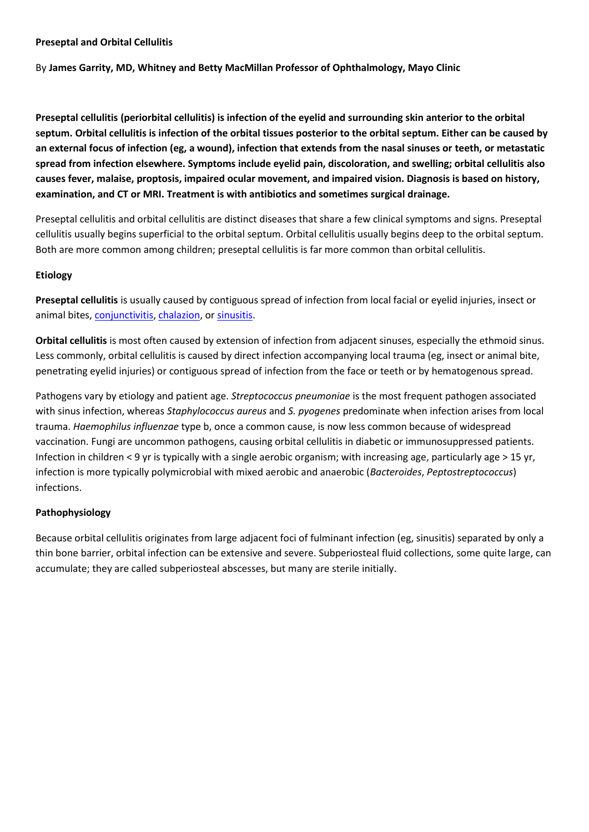#### **Preseptal and Orbital Cellulitis**

By **James Garrity, MD, Whitney and Betty MacMillan Professor of Ophthalmology, Mayo Clinic** 

**Preseptal cellulitis (periorbital cellulitis) is infection of the eyelid and surrounding skin anterior to the orbital septum. Orbital cellulitis is infection of the orbital tissues posterior to the orbital septum. Either can be caused by an external focus of infection (eg, a wound), infection that extends from the nasal sinuses or teeth, or metastatic spread from infection elsewhere. Symptoms include eyelid pain, discoloration, and swelling; orbital cellulitis also causes fever, malaise, proptosis, impaired ocular movement, and impaired vision. Diagnosis is based on history, examination, and CT or MRI. Treatment is with antibiotics and sometimes surgical drainage.**

Preseptal cellulitis and orbital cellulitis are distinct diseases that share a few clinical symptoms and signs. Preseptal cellulitis usually begins superficial to the orbital septum. Orbital cellulitis usually begins deep to the orbital septum. Both are more common among children; preseptal cellulitis is far more common than orbital cellulitis.

# **Etiology**

**Preseptal cellulitis** is usually caused by contiguous spread of infection from local facial or eyelid injuries, insect or animal bites, [conjunctivitis,](http://www.msdmanuals.com/en-gb/professional/eye-disorders/conjunctival-and-scleral-disorders/overview-of-conjunctivitis) [chalazion,](http://www.msdmanuals.com/en-gb/professional/eye-disorders/eyelid-and-lacrimal-disorders/chalazion-and-hordeolum-stye#v954204) or [sinusitis.](http://www.msdmanuals.com/en-gb/professional/ear,-nose,-and-throat-disorders/nose-and-paranasal-sinus-disorders/sinusitis)

**Orbital cellulitis** is most often caused by extension of infection from adjacent sinuses, especially the ethmoid sinus. Less commonly, orbital cellulitis is caused by direct infection accompanying local trauma (eg, insect or animal bite, penetrating eyelid injuries) or contiguous spread of infection from the face or teeth or by hematogenous spread.

Pathogens vary by etiology and patient age. *Streptococcus pneumoniae* is the most frequent pathogen associated with sinus infection, whereas *Staphylococcus aureus* and *S. pyogenes* predominate when infection arises from local trauma. *Haemophilus influenzae* type b, once a common cause, is now less common because of widespread vaccination. Fungi are uncommon pathogens, causing orbital cellulitis in diabetic or immunosuppressed patients. Infection in children < 9 yr is typically with a single aerobic organism; with increasing age, particularly age > 15 yr, infection is more typically polymicrobial with mixed aerobic and anaerobic (*Bacteroides*, *Peptostreptococcus*) infections.

# **Pathophysiology**

Because orbital cellulitis originates from large adjacent foci of fulminant infection (eg, sinusitis) separated by only a thin bone barrier, orbital infection can be extensive and severe. Subperiosteal fluid collections, some quite large, can accumulate; they are called subperiosteal abscesses, but many are sterile initially.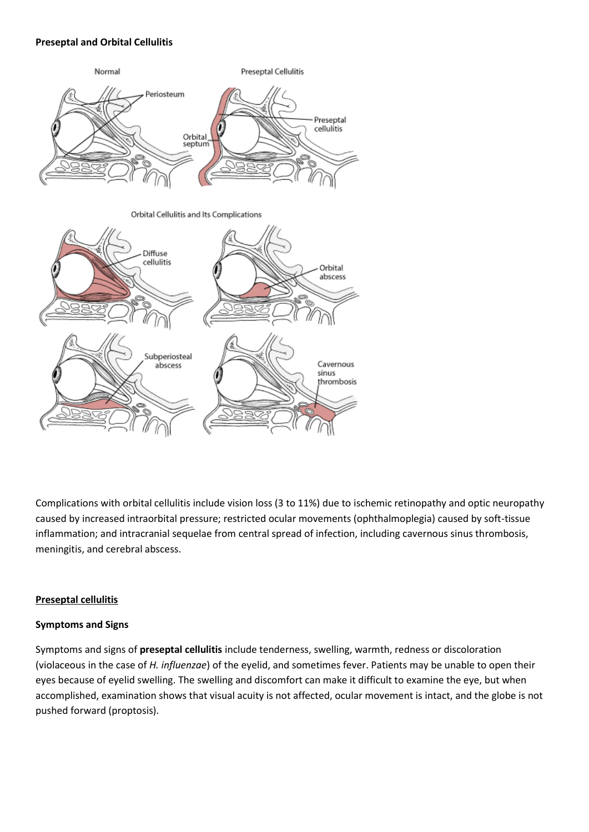#### **Preseptal and Orbital Cellulitis**



Complications with orbital cellulitis include vision loss (3 to 11%) due to ischemic retinopathy and optic neuropathy caused by increased intraorbital pressure; restricted ocular movements (ophthalmoplegia) caused by soft-tissue inflammation; and intracranial sequelae from central spread of infection, including cavernous sinus thrombosis, meningitis, and cerebral abscess.

# **Preseptal cellulitis**

# **Symptoms and Signs**

Symptoms and signs of **preseptal cellulitis** include tenderness, swelling, warmth, redness or discoloration (violaceous in the case of *H. influenzae*) of the eyelid, and sometimes fever. Patients may be unable to open their eyes because of eyelid swelling. The swelling and discomfort can make it difficult to examine the eye, but when accomplished, examination shows that visual acuity is not affected, ocular movement is intact, and the globe is not pushed forward (proptosis).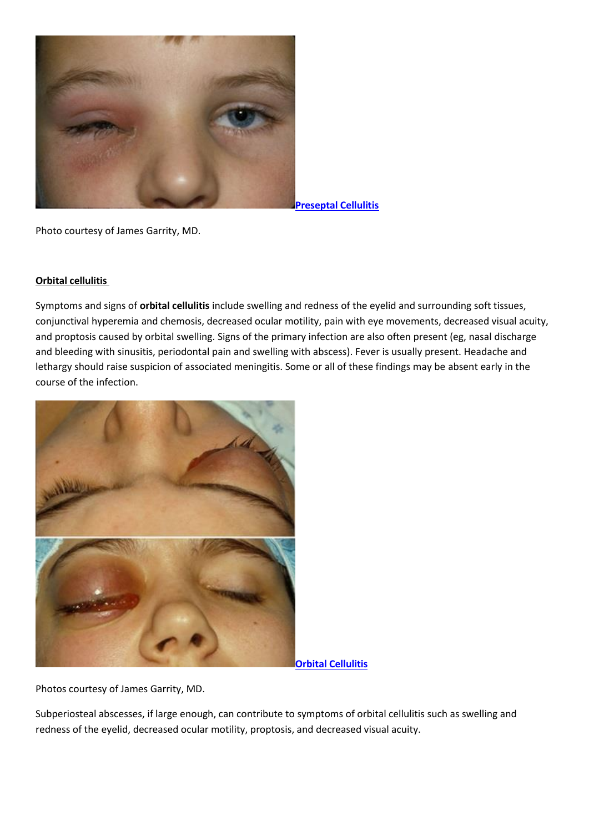

**[Preseptal Cellulitis](javascript:%20void();)**

Photo courtesy of James Garrity, MD.

#### **Orbital cellulitis**

Symptoms and signs of **orbital cellulitis** include swelling and redness of the eyelid and surrounding soft tissues, conjunctival hyperemia and chemosis, decreased ocular motility, pain with eye movements, decreased visual acuity, and proptosis caused by orbital swelling. Signs of the primary infection are also often present (eg, nasal discharge and bleeding with sinusitis, periodontal pain and swelling with abscess). Fever is usually present. Headache and lethargy should raise suspicion of associated meningitis. Some or all of these findings may be absent early in the course of the infection.



**[Orbital Cellulitis](javascript:%20void();)**

Photos courtesy of James Garrity, MD.

Subperiosteal abscesses, if large enough, can contribute to symptoms of orbital cellulitis such as swelling and redness of the eyelid, decreased ocular motility, proptosis, and decreased visual acuity.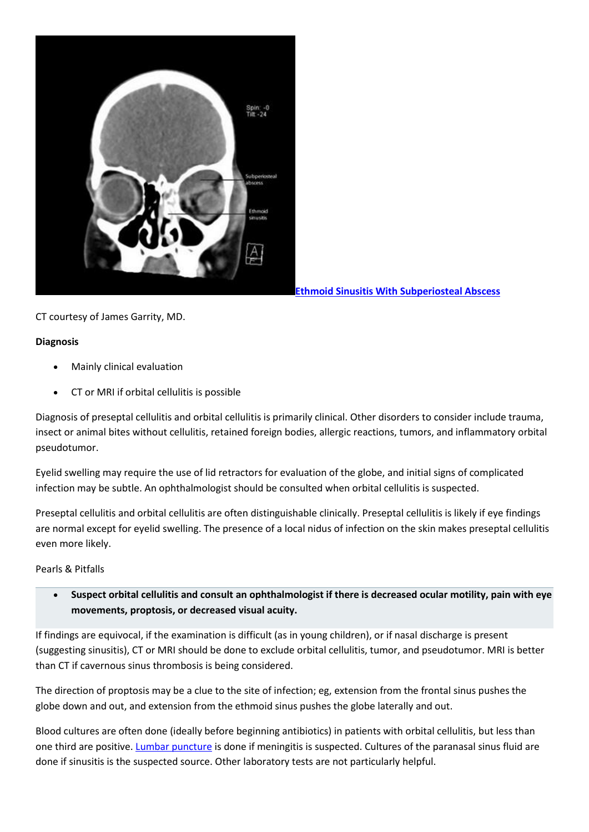

**[Ethmoid Sinusitis With Subperiosteal Abscess](javascript:%20void();)**

CT courtesy of James Garrity, MD.

# **Diagnosis**

- Mainly clinical evaluation
- CT or MRI if orbital cellulitis is possible

Diagnosis of preseptal cellulitis and orbital cellulitis is primarily clinical. Other disorders to consider include trauma, insect or animal bites without cellulitis, retained foreign bodies, allergic reactions, tumors, and inflammatory orbital pseudotumor.

Eyelid swelling may require the use of lid retractors for evaluation of the globe, and initial signs of complicated infection may be subtle. An ophthalmologist should be consulted when orbital cellulitis is suspected.

Preseptal cellulitis and orbital cellulitis are often distinguishable clinically. Preseptal cellulitis is likely if eye findings are normal except for eyelid swelling. The presence of a local nidus of infection on the skin makes preseptal cellulitis even more likely.

# Pearls & Pitfalls

 **Suspect orbital cellulitis and consult an ophthalmologist if there is decreased ocular motility, pain with eye movements, proptosis, or decreased visual acuity.**

If findings are equivocal, if the examination is difficult (as in young children), or if nasal discharge is present (suggesting sinusitis), CT or MRI should be done to exclude orbital cellulitis, tumor, and pseudotumor. MRI is better than CT if cavernous sinus thrombosis is being considered.

The direction of proptosis may be a clue to the site of infection; eg, extension from the frontal sinus pushes the globe down and out, and extension from the ethmoid sinus pushes the globe laterally and out.

Blood cultures are often done (ideally before beginning antibiotics) in patients with orbital cellulitis, but less than one third are positive. [Lumbar puncture](http://www.msdmanuals.com/en-gb/professional/neurologic-disorders/headache/post%E2%80%93lumbar-puncture-and-other-low%E2%80%93pressure-headaches) is done if meningitis is suspected. Cultures of the paranasal sinus fluid are done if sinusitis is the suspected source. Other laboratory tests are not particularly helpful.